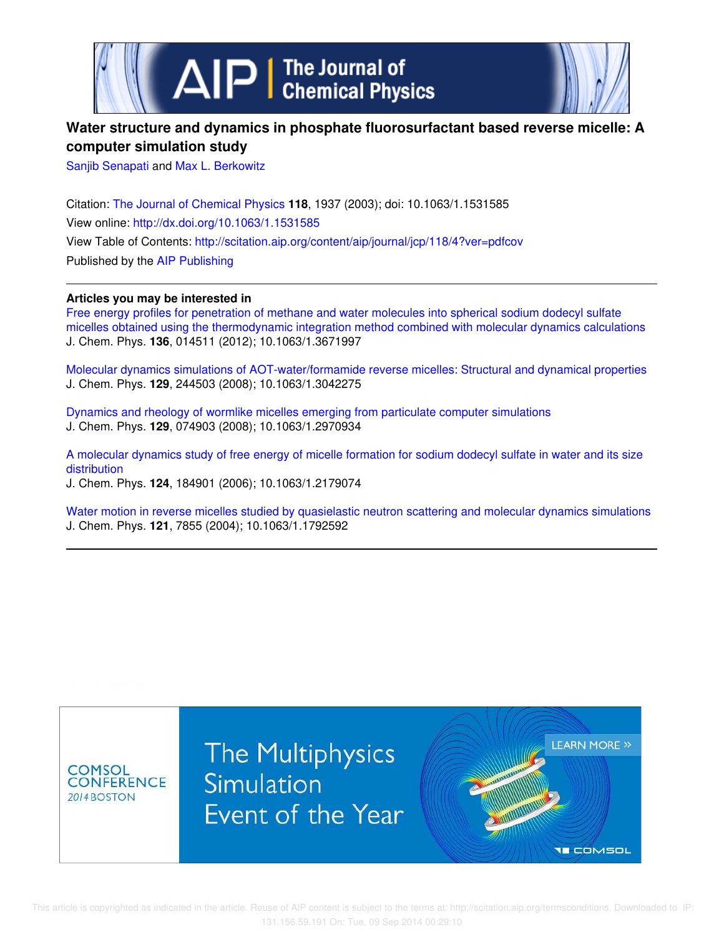

# **Water structure and dynamics in phosphate fluorosurfactant based reverse micelle: A computer simulation study**

Sanjib Senapati and Max L. Berkowitz

Citation: The Journal of Chemical Physics **118**, 1937 (2003); doi: 10.1063/1.1531585 View online: http://dx.doi.org/10.1063/1.1531585 View Table of Contents: http://scitation.aip.org/content/aip/journal/jcp/118/4?ver=pdfcov Published by the AIP Publishing

## **Articles you may be interested in**

Free energy profiles for penetration of methane and water molecules into spherical sodium dodecyl sulfate micelles obtained using the thermodynamic integration method combined with molecular dynamics calculations J. Chem. Phys. **136**, 014511 (2012); 10.1063/1.3671997

Molecular dynamics simulations of AOT-water/formamide reverse micelles: Structural and dynamical properties J. Chem. Phys. **129**, 244503 (2008); 10.1063/1.3042275

Dynamics and rheology of wormlike micelles emerging from particulate computer simulations J. Chem. Phys. **129**, 074903 (2008); 10.1063/1.2970934

A molecular dynamics study of free energy of micelle formation for sodium dodecyl sulfate in water and its size distribution J. Chem. Phys. **124**, 184901 (2006); 10.1063/1.2179074

Water motion in reverse micelles studied by quasielastic neutron scattering and molecular dynamics simulations J. Chem. Phys. **121**, 7855 (2004); 10.1063/1.1792592

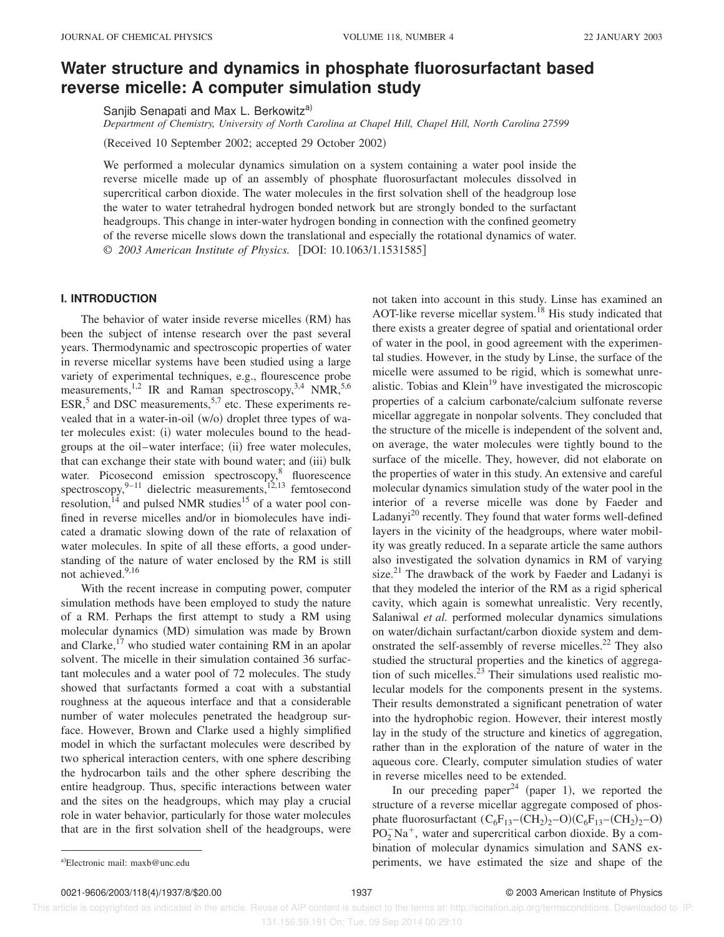# **Water structure and dynamics in phosphate fluorosurfactant based reverse micelle: A computer simulation study**

Sanjib Senapati and Max L. Berkowitz<sup>a)</sup>

*Department of Chemistry, University of North Carolina at Chapel Hill, Chapel Hill, North Carolina 27599*

(Received 10 September 2002; accepted 29 October 2002)

We performed a molecular dynamics simulation on a system containing a water pool inside the reverse micelle made up of an assembly of phosphate fluorosurfactant molecules dissolved in supercritical carbon dioxide. The water molecules in the first solvation shell of the headgroup lose the water to water tetrahedral hydrogen bonded network but are strongly bonded to the surfactant headgroups. This change in inter-water hydrogen bonding in connection with the confined geometry of the reverse micelle slows down the translational and especially the rotational dynamics of water. © 2003 American Institute of Physics. [DOI: 10.1063/1.1531585]

## **I. INTRODUCTION**

The behavior of water inside reverse micelles (RM) has been the subject of intense research over the past several years. Thermodynamic and spectroscopic properties of water in reverse micellar systems have been studied using a large variety of experimental techniques, e.g., flourescence probe measurements,<sup>1,2</sup> IR and Raman spectroscopy,<sup>3,4</sup> NMR,<sup>5,6</sup> ESR, $5$  and DSC measurements,  $5.7$  etc. These experiments revealed that in a water-in-oil  $(w/o)$  droplet three types of water molecules exist: (i) water molecules bound to the headgroups at the oil–water interface; (ii) free water molecules, that can exchange their state with bound water; and (iii) bulk water. Picosecond emission spectroscopy,<sup>8</sup> fluorescence spectroscopy,  $9-11$  dielectric measurements,  $12,13$  femtosecond resolution,  $14$  and pulsed NMR studies<sup>15</sup> of a water pool confined in reverse micelles and/or in biomolecules have indicated a dramatic slowing down of the rate of relaxation of water molecules. In spite of all these efforts, a good understanding of the nature of water enclosed by the RM is still not achieved.<sup>9,16</sup>

With the recent increase in computing power, computer simulation methods have been employed to study the nature of a RM. Perhaps the first attempt to study a RM using molecular dynamics (MD) simulation was made by Brown and Clarke, $^{17}$  who studied water containing RM in an apolar solvent. The micelle in their simulation contained 36 surfactant molecules and a water pool of 72 molecules. The study showed that surfactants formed a coat with a substantial roughness at the aqueous interface and that a considerable number of water molecules penetrated the headgroup surface. However, Brown and Clarke used a highly simplified model in which the surfactant molecules were described by two spherical interaction centers, with one sphere describing the hydrocarbon tails and the other sphere describing the entire headgroup. Thus, specific interactions between water and the sites on the headgroups, which may play a crucial role in water behavior, particularly for those water molecules that are in the first solvation shell of the headgroups, were

not taken into account in this study. Linse has examined an AOT-like reverse micellar system.<sup>18</sup> His study indicated that there exists a greater degree of spatial and orientational order of water in the pool, in good agreement with the experimental studies. However, in the study by Linse, the surface of the micelle were assumed to be rigid, which is somewhat unrealistic. Tobias and Klein<sup>19</sup> have investigated the microscopic properties of a calcium carbonate/calcium sulfonate reverse micellar aggregate in nonpolar solvents. They concluded that the structure of the micelle is independent of the solvent and, on average, the water molecules were tightly bound to the surface of the micelle. They, however, did not elaborate on the properties of water in this study. An extensive and careful molecular dynamics simulation study of the water pool in the interior of a reverse micelle was done by Faeder and Ladanyi $^{20}$  recently. They found that water forms well-defined layers in the vicinity of the headgroups, where water mobility was greatly reduced. In a separate article the same authors also investigated the solvation dynamics in RM of varying size. $21$  The drawback of the work by Faeder and Ladanyi is that they modeled the interior of the RM as a rigid spherical cavity, which again is somewhat unrealistic. Very recently, Salaniwal *et al.* performed molecular dynamics simulations on water/dichain surfactant/carbon dioxide system and demonstrated the self-assembly of reverse micelles.<sup>22</sup> They also studied the structural properties and the kinetics of aggregation of such micelles. $^{23}$  Their simulations used realistic molecular models for the components present in the systems. Their results demonstrated a significant penetration of water into the hydrophobic region. However, their interest mostly lay in the study of the structure and kinetics of aggregation, rather than in the exploration of the nature of water in the aqueous core. Clearly, computer simulation studies of water in reverse micelles need to be extended.

In our preceding paper<sup>24</sup> (paper 1), we reported the structure of a reverse micellar aggregate composed of phosphate fluorosurfactant  $(C_6F_{13}-(CH_2)_2-O)(C_6F_{13}-(CH_2)_2-O)$  $PO<sub>2</sub>^-Na<sup>+</sup>$ , water and supercritical carbon dioxide. By a combination of molecular dynamics simulation and SANS exa)Electronic mail: maxb@unc.edu **b** estimated the size and shape of the allectronic mail: maxb@unc.edu

 This article is copyrighted as indicated in the article. Reuse of AIP content is subject to the terms at: http://scitation.aip.org/termsconditions. Downloaded to IP: 131.156.59.191 On: Tue, 09 Sep 2014 00:29:10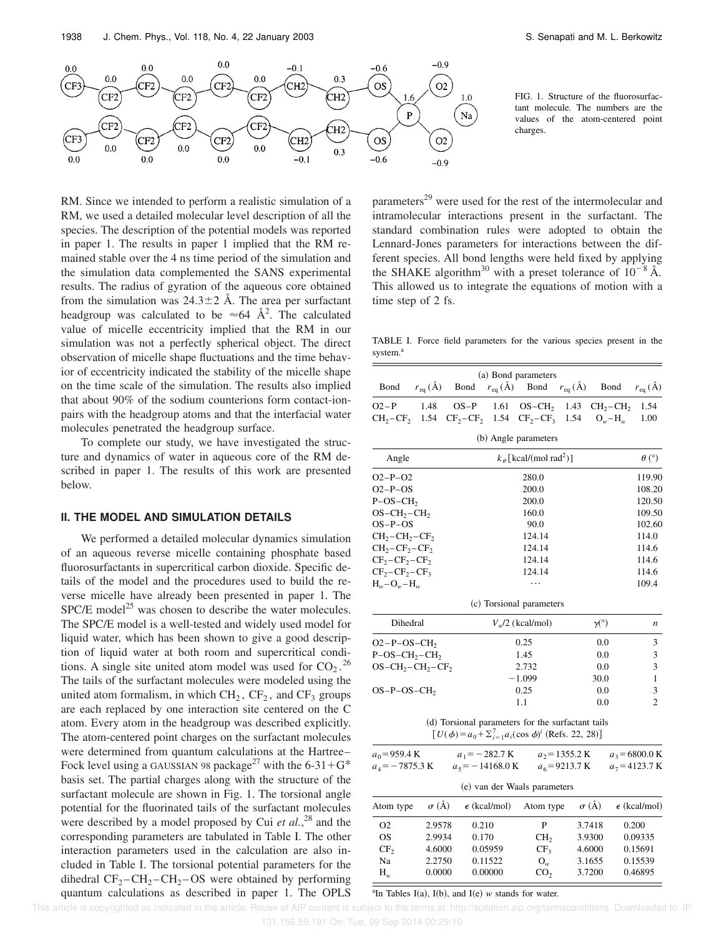

RM. Since we intended to perform a realistic simulation of a RM, we used a detailed molecular level description of all the species. The description of the potential models was reported in paper 1. The results in paper 1 implied that the RM remained stable over the 4 ns time period of the simulation and the simulation data complemented the SANS experimental results. The radius of gyration of the aqueous core obtained from the simulation was  $24.3\pm2$  Å. The area per surfactant headgroup was calculated to be  $\approx 64 \text{ Å}^2$ . The calculated value of micelle eccentricity implied that the RM in our simulation was not a perfectly spherical object. The direct observation of micelle shape fluctuations and the time behavior of eccentricity indicated the stability of the micelle shape on the time scale of the simulation. The results also implied that about 90% of the sodium counterions form contact-ionpairs with the headgroup atoms and that the interfacial water molecules penetrated the headgroup surface.

To complete our study, we have investigated the structure and dynamics of water in aqueous core of the RM described in paper 1. The results of this work are presented below.

## **II. THE MODEL AND SIMULATION DETAILS**

We performed a detailed molecular dynamics simulation of an aqueous reverse micelle containing phosphate based fluorosurfactants in supercritical carbon dioxide. Specific details of the model and the procedures used to build the reverse micelle have already been presented in paper 1. The  $SPC/E$  model<sup>25</sup> was chosen to describe the water molecules. The SPC/E model is a well-tested and widely used model for liquid water, which has been shown to give a good description of liquid water at both room and supercritical conditions. A single site united atom model was used for  $CO_2$ .<sup>26</sup> The tails of the surfactant molecules were modeled using the united atom formalism, in which  $CH_2$ ,  $CF_2$ , and  $CF_3$  groups are each replaced by one interaction site centered on the C atom. Every atom in the headgroup was described explicitly. The atom-centered point charges on the surfactant molecules were determined from quantum calculations at the Hartree– Fock level using a GAUSSIAN 98 package<sup>27</sup> with the 6-31+G<sup>\*</sup> basis set. The partial charges along with the structure of the surfactant molecule are shown in Fig. 1. The torsional angle potential for the fluorinated tails of the surfactant molecules were described by a model proposed by Cui *et al.*, <sup>28</sup> and the corresponding parameters are tabulated in Table I. The other interaction parameters used in the calculation are also included in Table I. The torsional potential parameters for the dihedral  $CF_2-CH_2-CH_2-OS$  were obtained by performing quantum calculations as described in paper 1. The OPLS

FIG. 1. Structure of the fluorosurfactant molecule. The numbers are the values of the atom-centered point charges.

parameters<sup>29</sup> were used for the rest of the intermolecular and intramolecular interactions present in the surfactant. The standard combination rules were adopted to obtain the Lennard-Jones parameters for interactions between the different species. All bond lengths were held fixed by applying the SHAKE algorithm<sup>30</sup> with a preset tolerance of  $10^{-8}$  Å. This allowed us to integrate the equations of motion with a time step of 2 fs.

TABLE I. Force field parameters for the various species present in the system.<sup>8</sup>

| Bond                 | $r_{eq}(\AA)$                               | Bond                                                                                                                    |                  | (a) Bond parameters      |  | $r_{eq}(\text{\AA})$ Bond $r_{eq}(\text{\AA})$ Bond | $r_{eq}(\AA)$    |
|----------------------|---------------------------------------------|-------------------------------------------------------------------------------------------------------------------------|------------------|--------------------------|--|-----------------------------------------------------|------------------|
|                      |                                             |                                                                                                                         |                  |                          |  |                                                     |                  |
| $O2-P$               | 1.48                                        | $OS-P$                                                                                                                  | 1.61             |                          |  | $OS-CH_2$ 1.43 $CH_2-CH_2$                          | 1.54             |
| $CH_2-CF_2$ 1.54     |                                             | $CF_2 - CF_2$ 1.54                                                                                                      |                  | $CF_2 - CF_3$ 1.54       |  | $O_w-H_w$                                           | 1.00             |
|                      |                                             |                                                                                                                         |                  | (b) Angle parameters     |  |                                                     |                  |
| Angle                | $k_{\theta}$ [kcal/(mol rad <sup>2</sup> )] |                                                                                                                         |                  |                          |  |                                                     | $\theta$ (°)     |
| $O2-P-O2$            |                                             |                                                                                                                         |                  | 280.0                    |  |                                                     | 119.90           |
| $O2-P-OS$            |                                             |                                                                                                                         |                  | 200.0                    |  |                                                     | 108.20           |
| $P-OS-CH2$           |                                             |                                                                                                                         |                  | 200.0                    |  |                                                     | 120.50           |
| $OS-CH_2-CH_2$       |                                             |                                                                                                                         |                  | 160.0                    |  |                                                     | 109.50           |
| $OS-P-OS$            |                                             |                                                                                                                         |                  | 90.0                     |  |                                                     | 102.60           |
| $CH_2-CH_2-CF_2$     |                                             |                                                                                                                         |                  | 124.14                   |  |                                                     | 114.0            |
| $CH_2-CF_2-CF_2$     |                                             |                                                                                                                         |                  | 124.14                   |  |                                                     | 114.6            |
| $CF2-CF2-CF2$        |                                             |                                                                                                                         |                  | 124.14                   |  |                                                     | 114.6            |
| $CF_2 - CF_2 - CF_3$ |                                             |                                                                                                                         |                  | 124.14                   |  |                                                     | 114.6            |
| $H_w - O_w - H_w$    |                                             |                                                                                                                         |                  |                          |  |                                                     | 109.4            |
|                      |                                             |                                                                                                                         |                  | (c) Torsional parameters |  |                                                     |                  |
| Dihedral             |                                             |                                                                                                                         |                  | $V_n/2$ (kcal/mol)       |  | $\gamma$ <sup>(<math>\circ</math></sup> )           | n                |
| $O2-P-OS-CH2$        |                                             |                                                                                                                         |                  | 0.25                     |  | 0.0                                                 | 3                |
| $P-OS-CH_2-CH_2$     |                                             |                                                                                                                         | 1.45             |                          |  | 0.0                                                 | 3                |
| $OS-CH_2-CH_2-CF_2$  |                                             |                                                                                                                         | 2.732            |                          |  | 0.0                                                 | 3                |
|                      |                                             |                                                                                                                         |                  | $-1.099$                 |  | 30.0                                                | $\mathbf{1}$     |
| $OS-P-OS-CH$         |                                             |                                                                                                                         | 0.25             |                          |  | 0.0                                                 | 3                |
|                      |                                             |                                                                                                                         |                  | 1.1                      |  | 0.0                                                 | $\overline{2}$   |
|                      |                                             | (d) Torsional parameters for the surfactant tails<br>$[U(\phi) = a_0 + \sum_{i=1}^{7} a_i(\cos \phi)^i$ (Refs. 22, 28)] |                  |                          |  |                                                     |                  |
| $a_0$ =959.4 K       |                                             |                                                                                                                         | $a_1 = -282.7$ K | $a_2$ =1355.2 K          |  |                                                     | $a_3$ = 6800.0 K |

| (e) van der Waals parameters |              |                       |                 |              |                       |  |  |  |
|------------------------------|--------------|-----------------------|-----------------|--------------|-----------------------|--|--|--|
| Atom type                    | $\sigma$ (Å) | $\epsilon$ (kcal/mol) | Atom type       | $\sigma$ (Å) | $\epsilon$ (kcal/mol) |  |  |  |
| O <sub>2</sub>               | 2.9578       | 0.210                 | P               | 3.7418       | 0.200                 |  |  |  |
| OS.                          | 2.9934       | 0.170                 | CH <sub>2</sub> | 3.9300       | 0.09335               |  |  |  |
| CF <sub>2</sub>              | 4.6000       | 0.05959               | CF <sub>3</sub> | 4.6000       | 0.15691               |  |  |  |
| Na                           | 2.2750       | 0.11522               | $O_w$           | 3.1655       | 0.15539               |  |  |  |
| $H_w$                        | 0.0000       | 0.00000               | CO <sub>2</sub> | 3.7200       | 0.46895               |  |  |  |

 $a_4 = -7875.3 \text{ K}$   $a_5 = -14168.0 \text{ K}$   $a_6 = 9213.7 \text{ K}$   $a_7 = 4123.7 \text{ K}$ 

 $a^2$ In Tables I(a), I(b), and I(e) *w* stands for water.

This article is copyrighted as indicated in the article. Reuse of AIP content is subject to the terms at: http://scitation.aip.org/termsconditions. Downloaded to IP: 131.156.59.191 On: Tue, 09 Sep 2014 00:29:10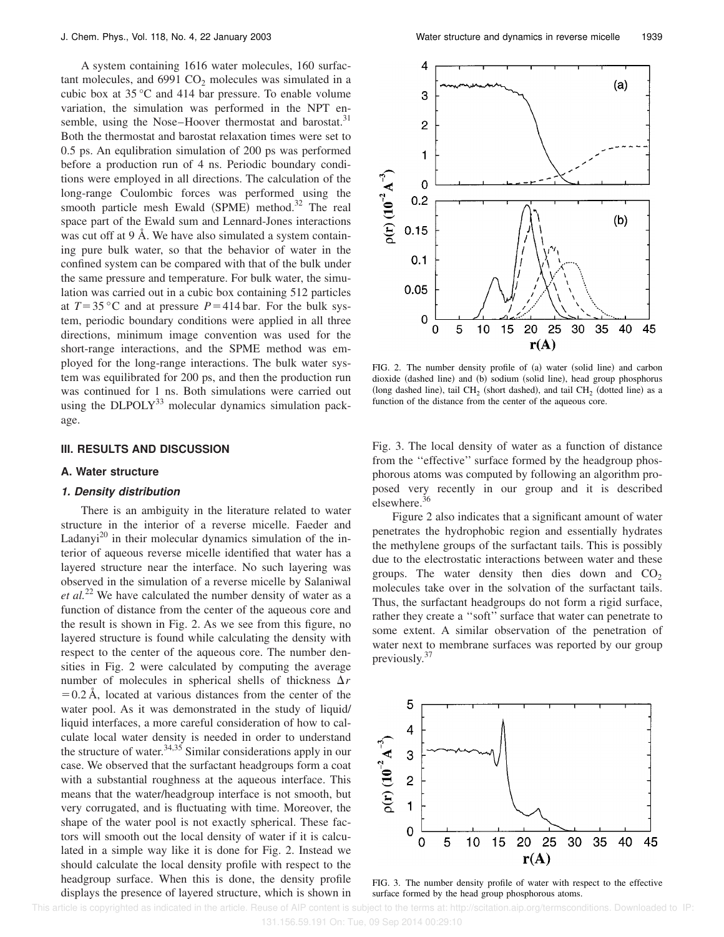A system containing 1616 water molecules, 160 surfactant molecules, and  $6991 \text{ CO}_2$  molecules was simulated in a cubic box at 35 °C and 414 bar pressure. To enable volume variation, the simulation was performed in the NPT ensemble, using the Nose–Hoover thermostat and barostat.<sup>31</sup> Both the thermostat and barostat relaxation times were set to 0.5 ps. An equlibration simulation of 200 ps was performed before a production run of 4 ns. Periodic boundary conditions were employed in all directions. The calculation of the long-range Coulombic forces was performed using the smooth particle mesh Ewald  $(SPME)$  method.<sup>32</sup> The real space part of the Ewald sum and Lennard-Jones interactions was cut off at 9 Å. We have also simulated a system containing pure bulk water, so that the behavior of water in the confined system can be compared with that of the bulk under the same pressure and temperature. For bulk water, the simulation was carried out in a cubic box containing 512 particles at  $T=35$  °C and at pressure  $P=414$  bar. For the bulk system, periodic boundary conditions were applied in all three directions, minimum image convention was used for the short-range interactions, and the SPME method was employed for the long-range interactions. The bulk water system was equilibrated for 200 ps, and then the production run was continued for 1 ns. Both simulations were carried out using the  $DLPOLY<sup>33</sup>$  molecular dynamics simulation package.

### **III. RESULTS AND DISCUSSION**

## **A. Water structure**

#### **1. Density distribution**

There is an ambiguity in the literature related to water structure in the interior of a reverse micelle. Faeder and Ladanyi<sup>20</sup> in their molecular dynamics simulation of the interior of aqueous reverse micelle identified that water has a layered structure near the interface. No such layering was observed in the simulation of a reverse micelle by Salaniwal *et al.*<sup>22</sup> We have calculated the number density of water as a function of distance from the center of the aqueous core and the result is shown in Fig. 2. As we see from this figure, no layered structure is found while calculating the density with respect to the center of the aqueous core. The number densities in Fig. 2 were calculated by computing the average number of molecules in spherical shells of thickness  $\Delta r$  $=0.2$  Å, located at various distances from the center of the water pool. As it was demonstrated in the study of liquid/ liquid interfaces, a more careful consideration of how to calculate local water density is needed in order to understand the structure of water.  $34,35$  Similar considerations apply in our case. We observed that the surfactant headgroups form a coat with a substantial roughness at the aqueous interface. This means that the water/headgroup interface is not smooth, but very corrugated, and is fluctuating with time. Moreover, the shape of the water pool is not exactly spherical. These factors will smooth out the local density of water if it is calculated in a simple way like it is done for Fig. 2. Instead we should calculate the local density profile with respect to the headgroup surface. When this is done, the density profile displays the presence of layered structure, which is shown in



FIG. 2. The number density profile of (a) water (solid line) and carbon dioxide (dashed line) and (b) sodium (solid line), head group phosphorus (long dashed line), tail CH<sub>2</sub> (short dashed), and tail CH<sub>2</sub> (dotted line) as a function of the distance from the center of the aqueous core.

Fig. 3. The local density of water as a function of distance from the ''effective'' surface formed by the headgroup phosphorous atoms was computed by following an algorithm proposed very recently in our group and it is described elsewhere.<sup>36</sup>

Figure 2 also indicates that a significant amount of water penetrates the hydrophobic region and essentially hydrates the methylene groups of the surfactant tails. This is possibly due to the electrostatic interactions between water and these groups. The water density then dies down and  $CO<sub>2</sub>$ molecules take over in the solvation of the surfactant tails. Thus, the surfactant headgroups do not form a rigid surface, rather they create a ''soft'' surface that water can penetrate to some extent. A similar observation of the penetration of water next to membrane surfaces was reported by our group previously. $37$ 



FIG. 3. The number density profile of water with respect to the effective surface formed by the head group phosphorous atoms.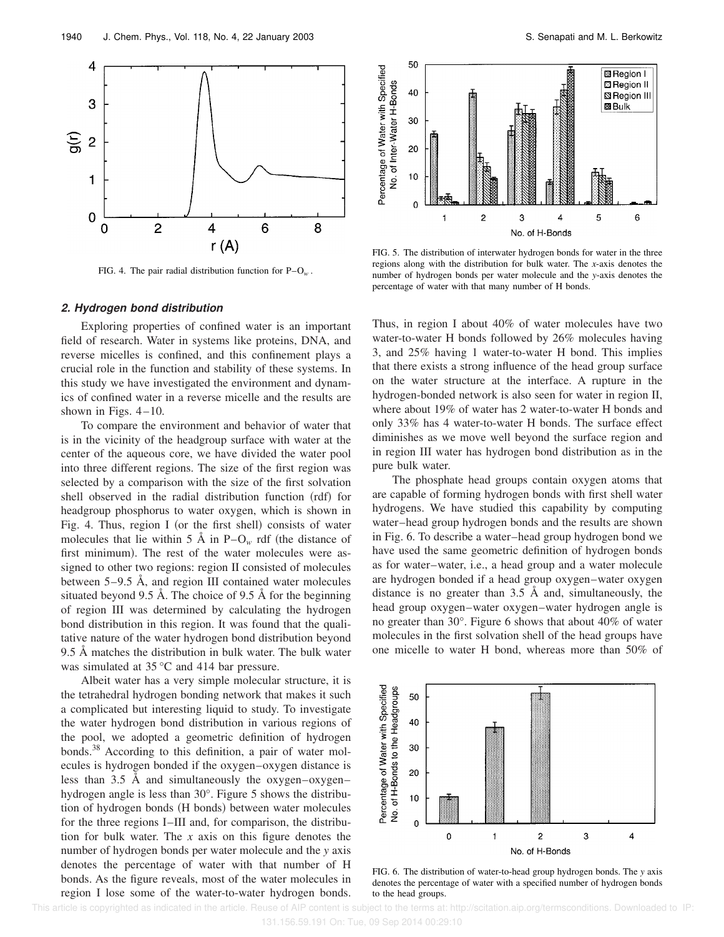

FIG. 4. The pair radial distribution function for P–O*<sup>w</sup>* .

#### **2. Hydrogen bond distribution**

Exploring properties of confined water is an important field of research. Water in systems like proteins, DNA, and reverse micelles is confined, and this confinement plays a crucial role in the function and stability of these systems. In this study we have investigated the environment and dynamics of confined water in a reverse micelle and the results are shown in Figs.  $4-10$ .

To compare the environment and behavior of water that is in the vicinity of the headgroup surface with water at the center of the aqueous core, we have divided the water pool into three different regions. The size of the first region was selected by a comparison with the size of the first solvation shell observed in the radial distribution function (rdf) for headgroup phosphorus to water oxygen, which is shown in Fig. 4. Thus, region I (or the first shell) consists of water molecules that lie within 5 Å in  $P-O_w$  rdf (the distance of first minimum). The rest of the water molecules were assigned to other two regions: region II consisted of molecules between 5–9.5 Å, and region III contained water molecules situated beyond 9.5 Å. The choice of 9.5 Å for the beginning of region III was determined by calculating the hydrogen bond distribution in this region. It was found that the qualitative nature of the water hydrogen bond distribution beyond 9.5 Å matches the distribution in bulk water. The bulk water was simulated at 35 °C and 414 bar pressure.

Albeit water has a very simple molecular structure, it is the tetrahedral hydrogen bonding network that makes it such a complicated but interesting liquid to study. To investigate the water hydrogen bond distribution in various regions of the pool, we adopted a geometric definition of hydrogen bonds.<sup>38</sup> According to this definition, a pair of water molecules is hydrogen bonded if the oxygen–oxygen distance is less than 3.5 Å and simultaneously the oxygen–oxygen– hydrogen angle is less than 30°. Figure 5 shows the distribution of hydrogen bonds (H bonds) between water molecules for the three regions I–III and, for comparison, the distribution for bulk water. The *x* axis on this figure denotes the number of hydrogen bonds per water molecule and the *y* axis denotes the percentage of water with that number of H bonds. As the figure reveals, most of the water molecules in region I lose some of the water-to-water hydrogen bonds.



FIG. 5. The distribution of interwater hydrogen bonds for water in the three regions along with the distribution for bulk water. The *x*-axis denotes the number of hydrogen bonds per water molecule and the *y*-axis denotes the percentage of water with that many number of H bonds.

Thus, in region I about 40% of water molecules have two water-to-water H bonds followed by 26% molecules having 3, and 25% having 1 water-to-water H bond. This implies that there exists a strong influence of the head group surface on the water structure at the interface. A rupture in the hydrogen-bonded network is also seen for water in region II, where about 19% of water has 2 water-to-water H bonds and only 33% has 4 water-to-water H bonds. The surface effect diminishes as we move well beyond the surface region and in region III water has hydrogen bond distribution as in the pure bulk water.

The phosphate head groups contain oxygen atoms that are capable of forming hydrogen bonds with first shell water hydrogens. We have studied this capability by computing water–head group hydrogen bonds and the results are shown in Fig. 6. To describe a water–head group hydrogen bond we have used the same geometric definition of hydrogen bonds as for water–water, i.e., a head group and a water molecule are hydrogen bonded if a head group oxygen–water oxygen distance is no greater than 3.5 Å and, simultaneously, the head group oxygen–water oxygen–water hydrogen angle is no greater than 30°. Figure 6 shows that about 40% of water molecules in the first solvation shell of the head groups have one micelle to water H bond, whereas more than 50% of



FIG. 6. The distribution of water-to-head group hydrogen bonds. The *y* axis denotes the percentage of water with a specified number of hydrogen bonds to the head groups.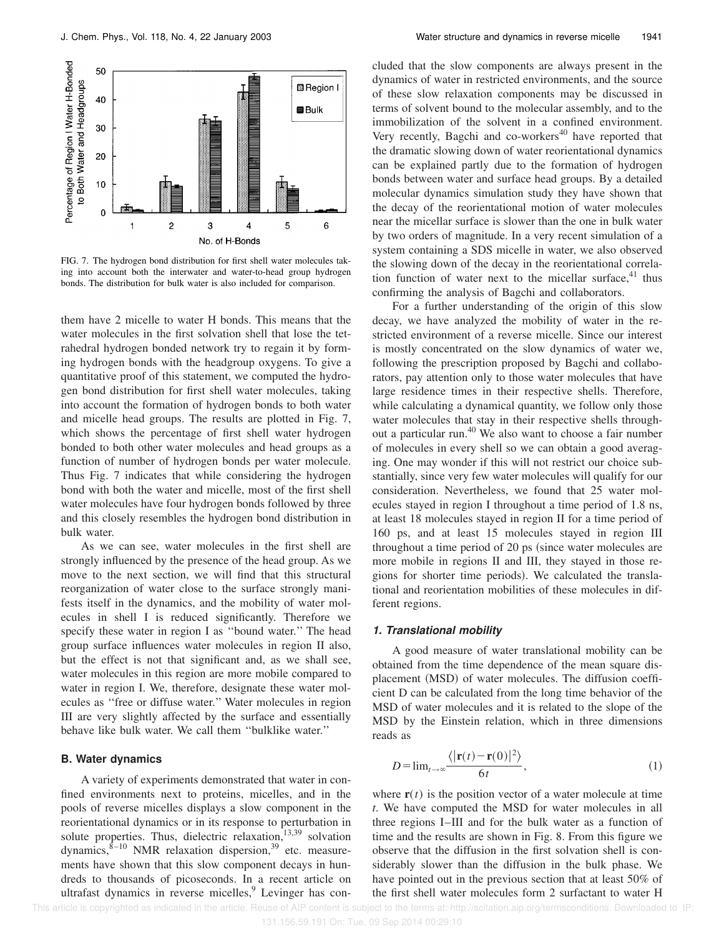

FIG. 7. The hydrogen bond distribution for first shell water molecules taking into account both the interwater and water-to-head group hydrogen bonds. The distribution for bulk water is also included for comparison.

them have 2 micelle to water H bonds. This means that the water molecules in the first solvation shell that lose the tetrahedral hydrogen bonded network try to regain it by forming hydrogen bonds with the headgroup oxygens. To give a quantitative proof of this statement, we computed the hydrogen bond distribution for first shell water molecules, taking into account the formation of hydrogen bonds to both water and micelle head groups. The results are plotted in Fig. 7, which shows the percentage of first shell water hydrogen bonded to both other water molecules and head groups as a function of number of hydrogen bonds per water molecule. Thus Fig. 7 indicates that while considering the hydrogen bond with both the water and micelle, most of the first shell water molecules have four hydrogen bonds followed by three and this closely resembles the hydrogen bond distribution in bulk water.

As we can see, water molecules in the first shell are strongly influenced by the presence of the head group. As we move to the next section, we will find that this structural reorganization of water close to the surface strongly manifests itself in the dynamics, and the mobility of water molecules in shell I is reduced significantly. Therefore we specify these water in region I as ''bound water.'' The head group surface influences water molecules in region II also, but the effect is not that significant and, as we shall see, water molecules in this region are more mobile compared to water in region I. We, therefore, designate these water molecules as ''free or diffuse water.'' Water molecules in region III are very slightly affected by the surface and essentially behave like bulk water. We call them ''bulklike water.''

## **B. Water dynamics**

A variety of experiments demonstrated that water in confined environments next to proteins, micelles, and in the pools of reverse micelles displays a slow component in the reorientational dynamics or in its response to perturbation in solute properties. Thus, dielectric relaxation,<sup>13,39</sup> solvation dynamics, $8\overline{e}$ -10 NMR relaxation dispersion,<sup>39</sup> etc. measurements have shown that this slow component decays in hundreds to thousands of picoseconds. In a recent article on ultrafast dynamics in reverse micelles,<sup>9</sup> Levinger has concluded that the slow components are always present in the dynamics of water in restricted environments, and the source of these slow relaxation components may be discussed in terms of solvent bound to the molecular assembly, and to the immobilization of the solvent in a confined environment. Very recently, Bagchi and co-workers<sup>40</sup> have reported that the dramatic slowing down of water reorientational dynamics can be explained partly due to the formation of hydrogen bonds between water and surface head groups. By a detailed molecular dynamics simulation study they have shown that the decay of the reorientational motion of water molecules near the micellar surface is slower than the one in bulk water by two orders of magnitude. In a very recent simulation of a system containing a SDS micelle in water, we also observed the slowing down of the decay in the reorientational correlation function of water next to the micellar surface, $41$  thus confirming the analysis of Bagchi and collaborators.

For a further understanding of the origin of this slow decay, we have analyzed the mobility of water in the restricted environment of a reverse micelle. Since our interest is mostly concentrated on the slow dynamics of water we, following the prescription proposed by Bagchi and collaborators, pay attention only to those water molecules that have large residence times in their respective shells. Therefore, while calculating a dynamical quantity, we follow only those water molecules that stay in their respective shells throughout a particular run.<sup>40</sup> We also want to choose a fair number of molecules in every shell so we can obtain a good averaging. One may wonder if this will not restrict our choice substantially, since very few water molecules will qualify for our consideration. Nevertheless, we found that 25 water molecules stayed in region I throughout a time period of 1.8 ns, at least 18 molecules stayed in region II for a time period of 160 ps, and at least 15 molecules stayed in region III throughout a time period of 20 ps (since water molecules are more mobile in regions II and III, they stayed in those regions for shorter time periods). We calculated the translational and reorientation mobilities of these molecules in different regions.

## **1. Translational mobility**

A good measure of water translational mobility can be obtained from the time dependence of the mean square displacement (MSD) of water molecules. The diffusion coefficient D can be calculated from the long time behavior of the MSD of water molecules and it is related to the slope of the MSD by the Einstein relation, which in three dimensions reads as

$$
D = \lim_{t \to \infty} \frac{\langle |\mathbf{r}(t) - \mathbf{r}(0)|^2 \rangle}{6t},\tag{1}
$$

where  $\mathbf{r}(t)$  is the position vector of a water molecule at time *t*. We have computed the MSD for water molecules in all three regions I–III and for the bulk water as a function of time and the results are shown in Fig. 8. From this figure we observe that the diffusion in the first solvation shell is considerably slower than the diffusion in the bulk phase. We have pointed out in the previous section that at least 50% of the first shell water molecules form 2 surfactant to water H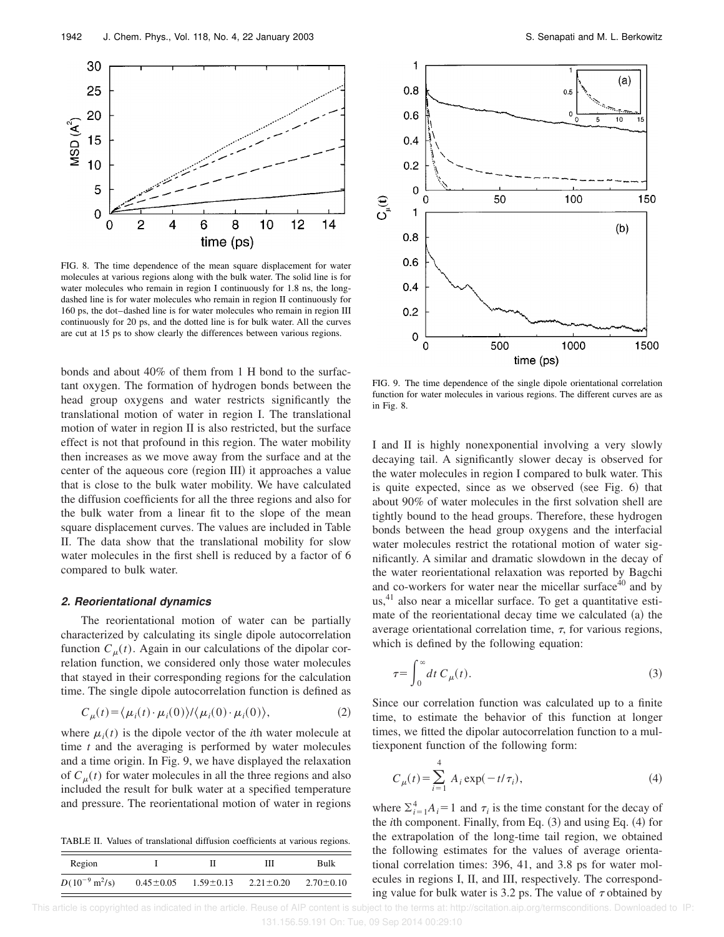

FIG. 8. The time dependence of the mean square displacement for water molecules at various regions along with the bulk water. The solid line is for water molecules who remain in region I continuously for 1.8 ns, the longdashed line is for water molecules who remain in region II continuously for 160 ps, the dot–dashed line is for water molecules who remain in region III continuously for 20 ps, and the dotted line is for bulk water. All the curves are cut at 15 ps to show clearly the differences between various regions.

bonds and about 40% of them from 1 H bond to the surfactant oxygen. The formation of hydrogen bonds between the head group oxygens and water restricts significantly the translational motion of water in region I. The translational motion of water in region II is also restricted, but the surface effect is not that profound in this region. The water mobility then increases as we move away from the surface and at the center of the aqueous core (region III) it approaches a value that is close to the bulk water mobility. We have calculated the diffusion coefficients for all the three regions and also for the bulk water from a linear fit to the slope of the mean square displacement curves. The values are included in Table II. The data show that the translational mobility for slow water molecules in the first shell is reduced by a factor of 6 compared to bulk water.

#### **2. Reorientational dynamics**

The reorientational motion of water can be partially characterized by calculating its single dipole autocorrelation function  $C_{\mu}(t)$ . Again in our calculations of the dipolar correlation function, we considered only those water molecules that stayed in their corresponding regions for the calculation time. The single dipole autocorrelation function is defined as

$$
C_{\mu}(t) = \langle \mu_i(t) \cdot \mu_i(0) \rangle / \langle \mu_i(0) \cdot \mu_i(0) \rangle, \tag{2}
$$

where  $\mu_i(t)$  is the dipole vector of the *i*th water molecule at time *t* and the averaging is performed by water molecules and a time origin. In Fig. 9, we have displayed the relaxation of  $C<sub>n</sub>(t)$  for water molecules in all the three regions and also included the result for bulk water at a specified temperature and pressure. The reorientational motion of water in regions

TABLE II. Values of translational diffusion coefficients at various regions.

| Region                            |                 |                 | Ш               | Bulk            |
|-----------------------------------|-----------------|-----------------|-----------------|-----------------|
| $D(10^{-9} \text{ m}^2/\text{s})$ | $0.45 \pm 0.05$ | $1.59 \pm 0.13$ | $2.21 \pm 0.20$ | $2.70 \pm 0.10$ |



FIG. 9. The time dependence of the single dipole orientational correlation function for water molecules in various regions. The different curves are as in Fig. 8.

I and II is highly nonexponential involving a very slowly decaying tail. A significantly slower decay is observed for the water molecules in region I compared to bulk water. This is quite expected, since as we observed (see Fig.  $6$ ) that about 90% of water molecules in the first solvation shell are tightly bound to the head groups. Therefore, these hydrogen bonds between the head group oxygens and the interfacial water molecules restrict the rotational motion of water significantly. A similar and dramatic slowdown in the decay of the water reorientational relaxation was reported by Bagchi and co-workers for water near the micellar surface<sup>40</sup> and by  $us<sub>1</sub><sup>41</sup>$  also near a micellar surface. To get a quantitative estimate of the reorientational decay time we calculated  $(a)$  the average orientational correlation time,  $\tau$ , for various regions, which is defined by the following equation:

$$
\tau = \int_0^\infty dt \ C_\mu(t). \tag{3}
$$

Since our correlation function was calculated up to a finite time, to estimate the behavior of this function at longer times, we fitted the dipolar autocorrelation function to a multiexponent function of the following form:

$$
C_{\mu}(t) = \sum_{i=1}^{4} A_i \exp(-t/\tau_i),
$$
 (4)

where  $\sum_{i=1}^{4} A_i = 1$  and  $\tau_i$  is the time constant for the decay of the *i*th component. Finally, from Eq. (3) and using Eq. (4) for the extrapolation of the long-time tail region, we obtained the following estimates for the values of average orientational correlation times: 396, 41, and 3.8 ps for water molecules in regions I, II, and III, respectively. The corresponding value for bulk water is 3.2 ps. The value of  $\tau$  obtained by

 This article is copyrighted as indicated in the article. Reuse of AIP content is subject to the terms at: http://scitation.aip.org/termsconditions. Downloaded to IP: 131.156.59.191 On: Tue, 09 Sep 2014 00:29:10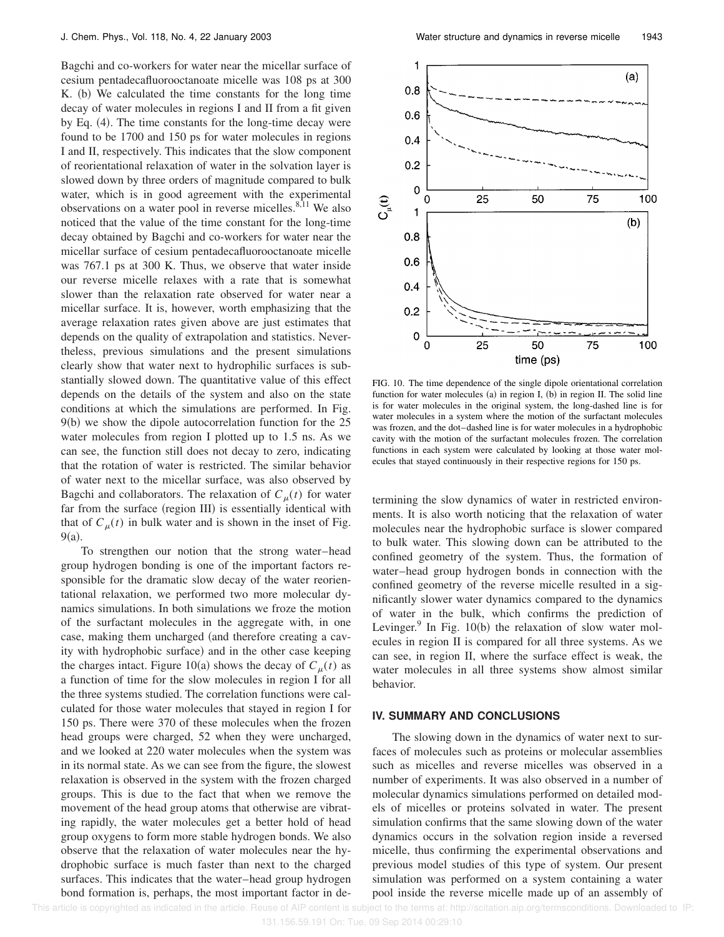Bagchi and co-workers for water near the micellar surface of cesium pentadecafluorooctanoate micelle was 108 ps at 300 K. (b) We calculated the time constants for the long time decay of water molecules in regions I and II from a fit given by Eq.  $(4)$ . The time constants for the long-time decay were found to be 1700 and 150 ps for water molecules in regions I and II, respectively. This indicates that the slow component of reorientational relaxation of water in the solvation layer is slowed down by three orders of magnitude compared to bulk water, which is in good agreement with the experimental observations on a water pool in reverse micelles.<sup>8,11</sup> We also noticed that the value of the time constant for the long-time decay obtained by Bagchi and co-workers for water near the micellar surface of cesium pentadecafluorooctanoate micelle was 767.1 ps at 300 K. Thus, we observe that water inside our reverse micelle relaxes with a rate that is somewhat slower than the relaxation rate observed for water near a micellar surface. It is, however, worth emphasizing that the average relaxation rates given above are just estimates that depends on the quality of extrapolation and statistics. Nevertheless, previous simulations and the present simulations clearly show that water next to hydrophilic surfaces is substantially slowed down. The quantitative value of this effect depends on the details of the system and also on the state conditions at which the simulations are performed. In Fig.  $9(b)$  we show the dipole autocorrelation function for the 25 water molecules from region I plotted up to 1.5 ns. As we can see, the function still does not decay to zero, indicating that the rotation of water is restricted. The similar behavior of water next to the micellar surface, was also observed by Bagchi and collaborators. The relaxation of  $C<sub>u</sub>(t)$  for water far from the surface (region III) is essentially identical with that of  $C_{\mu}(t)$  in bulk water and is shown in the inset of Fig.  $9(a)$ .

To strengthen our notion that the strong water–head group hydrogen bonding is one of the important factors responsible for the dramatic slow decay of the water reorientational relaxation, we performed two more molecular dynamics simulations. In both simulations we froze the motion of the surfactant molecules in the aggregate with, in one case, making them uncharged (and therefore creating a cavity with hydrophobic surface) and in the other case keeping the charges intact. Figure 10(a) shows the decay of  $C<sub>u</sub>(t)$  as a function of time for the slow molecules in region I for all the three systems studied. The correlation functions were calculated for those water molecules that stayed in region I for 150 ps. There were 370 of these molecules when the frozen head groups were charged, 52 when they were uncharged, and we looked at 220 water molecules when the system was in its normal state. As we can see from the figure, the slowest relaxation is observed in the system with the frozen charged groups. This is due to the fact that when we remove the movement of the head group atoms that otherwise are vibrating rapidly, the water molecules get a better hold of head group oxygens to form more stable hydrogen bonds. We also observe that the relaxation of water molecules near the hydrophobic surface is much faster than next to the charged surfaces. This indicates that the water–head group hydrogen bond formation is, perhaps, the most important factor in de-



FIG. 10. The time dependence of the single dipole orientational correlation function for water molecules  $(a)$  in region I,  $(b)$  in region II. The solid line is for water molecules in the original system, the long-dashed line is for water molecules in a system where the motion of the surfactant molecules was frozen, and the dot–dashed line is for water molecules in a hydrophobic cavity with the motion of the surfactant molecules frozen. The correlation functions in each system were calculated by looking at those water molecules that stayed continuously in their respective regions for 150 ps.

termining the slow dynamics of water in restricted environments. It is also worth noticing that the relaxation of water molecules near the hydrophobic surface is slower compared to bulk water. This slowing down can be attributed to the confined geometry of the system. Thus, the formation of water–head group hydrogen bonds in connection with the confined geometry of the reverse micelle resulted in a significantly slower water dynamics compared to the dynamics of water in the bulk, which confirms the prediction of Levinger.<sup>9</sup> In Fig. 10(b) the relaxation of slow water molecules in region II is compared for all three systems. As we can see, in region II, where the surface effect is weak, the water molecules in all three systems show almost similar behavior.

## **IV. SUMMARY AND CONCLUSIONS**

The slowing down in the dynamics of water next to surfaces of molecules such as proteins or molecular assemblies such as micelles and reverse micelles was observed in a number of experiments. It was also observed in a number of molecular dynamics simulations performed on detailed models of micelles or proteins solvated in water. The present simulation confirms that the same slowing down of the water dynamics occurs in the solvation region inside a reversed micelle, thus confirming the experimental observations and previous model studies of this type of system. Our present simulation was performed on a system containing a water pool inside the reverse micelle made up of an assembly of